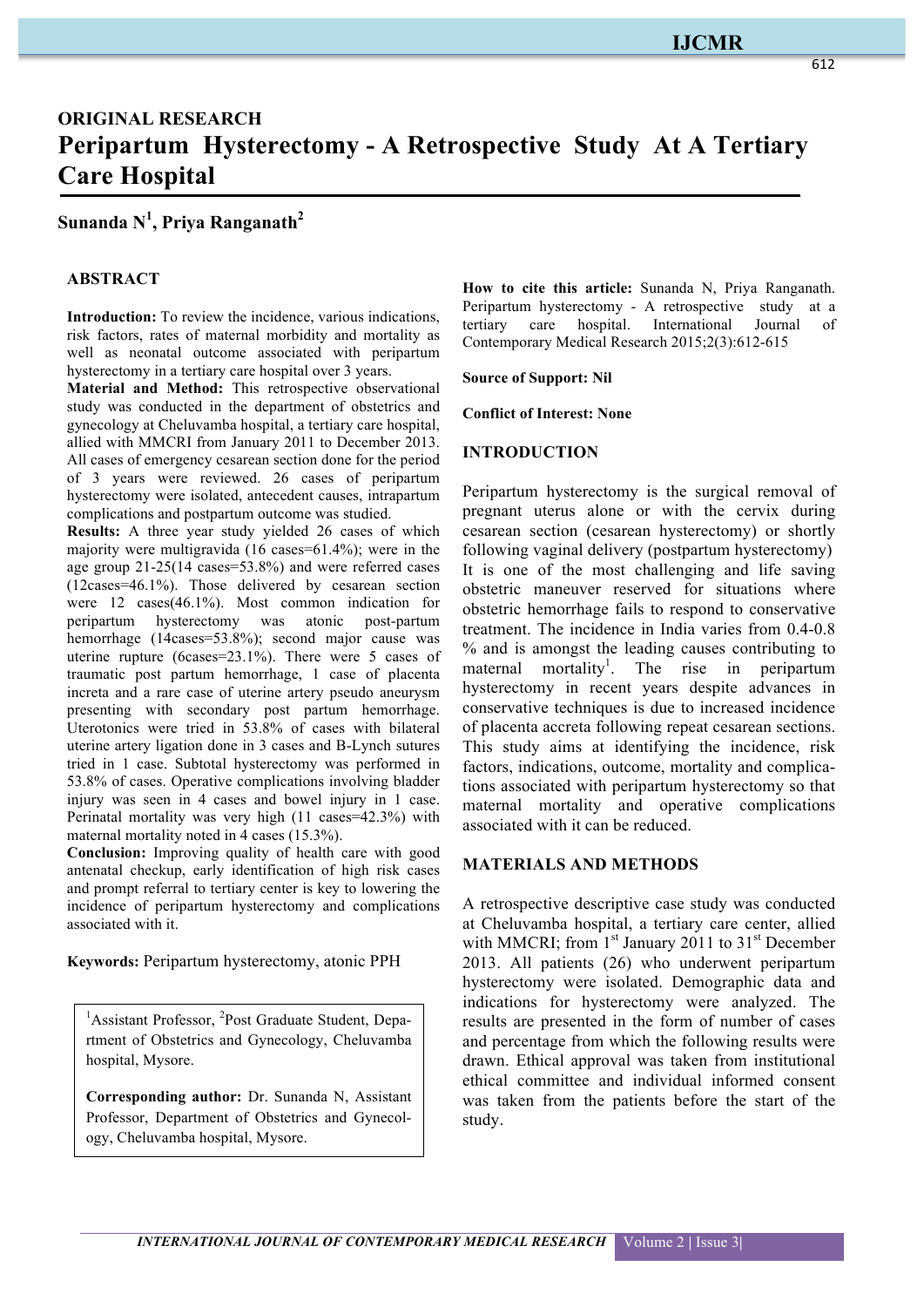# **IJCMR**

# **ORIGINAL RESEARCH Peripartum Hysterectomy - A Retrospective Study At A Tertiary Care Hospital**

# **Sunanda N1 , Priya Ranganath<sup>2</sup>**

## **ABSTRACT**

**Introduction:** To review the incidence, various indications, risk factors, rates of maternal morbidity and mortality as well as neonatal outcome associated with peripartum hysterectomy in a tertiary care hospital over 3 years.

**Material and Method:** This retrospective observational study was conducted in the department of obstetrics and gynecology at Cheluvamba hospital, a tertiary care hospital, allied with MMCRI from January 2011 to December 2013. All cases of emergency cesarean section done for the period of 3 years were reviewed. 26 cases of peripartum hysterectomy were isolated, antecedent causes, intrapartum complications and postpartum outcome was studied.

**Results:** A three year study yielded 26 cases of which majority were multigravida (16 cases=61.4%); were in the age group 21-25(14 cases=53.8%) and were referred cases (12cases=46.1%). Those delivered by cesarean section were 12 cases(46.1%). Most common indication for peripartum hysterectomy was atonic post-partum hemorrhage (14cases=53.8%); second major cause was uterine rupture (6cases=23.1%). There were 5 cases of traumatic post partum hemorrhage, 1 case of placenta increta and a rare case of uterine artery pseudo aneurysm presenting with secondary post partum hemorrhage. Uterotonics were tried in 53.8% of cases with bilateral uterine artery ligation done in 3 cases and B-Lynch sutures tried in 1 case. Subtotal hysterectomy was performed in 53.8% of cases. Operative complications involving bladder injury was seen in 4 cases and bowel injury in 1 case. Perinatal mortality was very high (11 cases=42.3%) with maternal mortality noted in 4 cases (15.3%).

**Conclusion:** Improving quality of health care with good antenatal checkup, early identification of high risk cases and prompt referral to tertiary center is key to lowering the incidence of peripartum hysterectomy and complications associated with it.

**Keywords:** Peripartum hysterectomy, atonic PPH

<sup>1</sup>Assistant Professor, <sup>2</sup>Post Graduate Student, Department of Obstetrics and Gynecology, Cheluvamba hospital, Mysore.

**Corresponding author:** Dr. Sunanda N, Assistant Professor, Department of Obstetrics and Gynecology, Cheluvamba hospital, Mysore.

**How to cite this article:** Sunanda N, Priya Ranganath. Peripartum hysterectomy - A retrospective study at a tertiary care hospital. International Journal of tertiary care hospital. International Journal of Contemporary Medical Research 2015;2(3):612-615

**Source of Support: Nil**

**Conflict of Interest: None**

#### **INTRODUCTION**

Peripartum hysterectomy is the surgical removal of pregnant uterus alone or with the cervix during cesarean section (cesarean hysterectomy) or shortly following vaginal delivery (postpartum hysterectomy) It is one of the most challenging and life saving obstetric maneuver reserved for situations where obstetric hemorrhage fails to respond to conservative treatment. The incidence in India varies from 0.4-0.8 % and is amongst the leading causes contributing to maternal mortality<sup>1</sup>. The rise in peripartum hysterectomy in recent years despite advances in conservative techniques is due to increased incidence of placenta accreta following repeat cesarean sections. This study aims at identifying the incidence, risk factors, indications, outcome, mortality and complications associated with peripartum hysterectomy so that maternal mortality and operative complications associated with it can be reduced.

### **MATERIALS AND METHODS**

A retrospective descriptive case study was conducted at Cheluvamba hospital, a tertiary care center, allied with MMCRI; from  $1<sup>st</sup>$  January 2011 to 31<sup>st</sup> December 2013. All patients (26) who underwent peripartum hysterectomy were isolated. Demographic data and indications for hysterectomy were analyzed. The results are presented in the form of number of cases and percentage from which the following results were drawn. Ethical approval was taken from institutional ethical committee and individual informed consent was taken from the patients before the start of the study.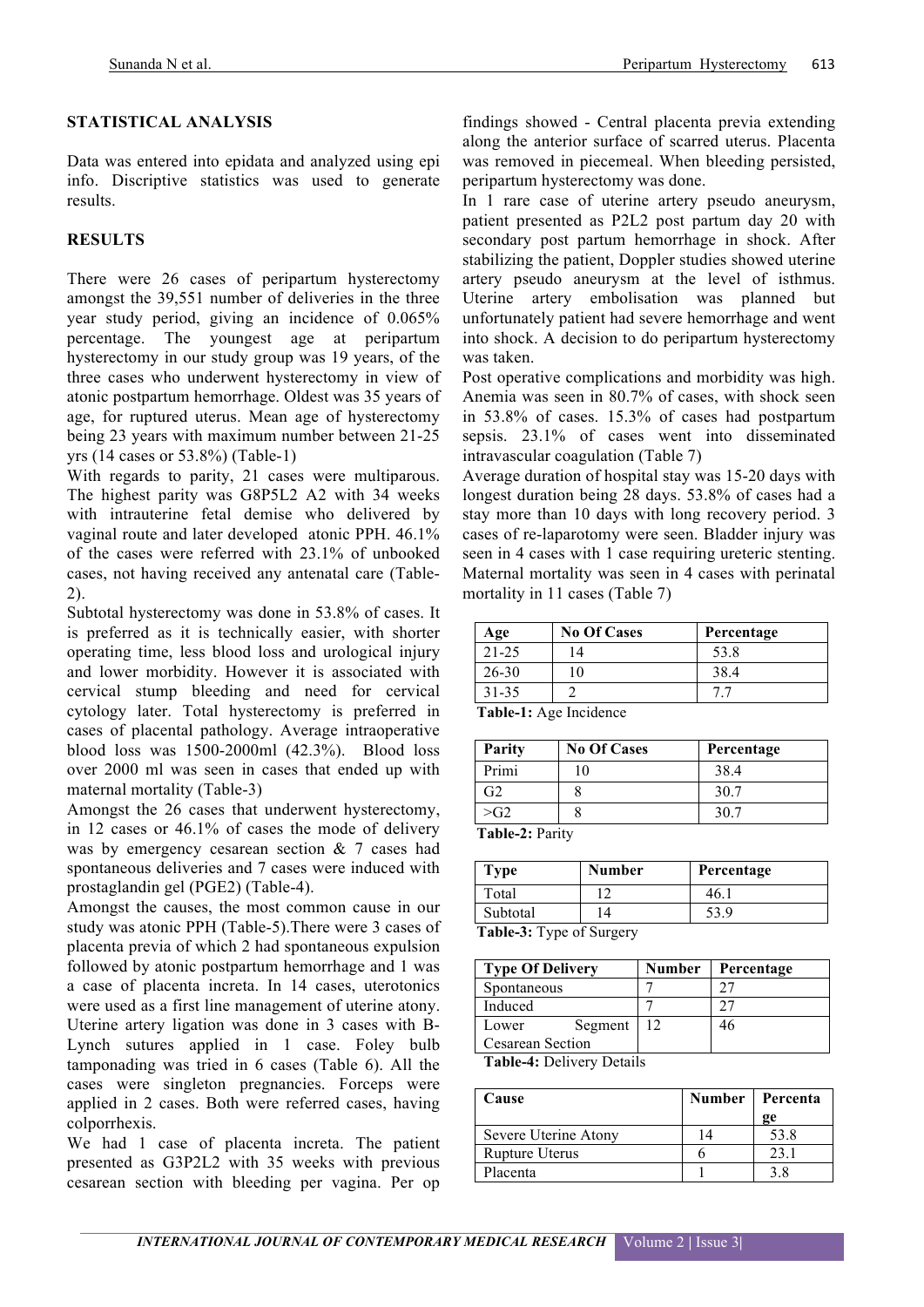## **STATISTICAL ANALYSIS**

Data was entered into epidata and analyzed using epi info. Discriptive statistics was used to generate results.

# **RESULTS**

There were 26 cases of peripartum hysterectomy amongst the 39,551 number of deliveries in the three year study period, giving an incidence of 0.065% percentage. The youngest age at peripartum hysterectomy in our study group was 19 years, of the three cases who underwent hysterectomy in view of atonic postpartum hemorrhage. Oldest was 35 years of age, for ruptured uterus. Mean age of hysterectomy being 23 years with maximum number between 21-25 yrs (14 cases or 53.8%) (Table-1)

With regards to parity, 21 cases were multiparous. The highest parity was G8P5L2 A2 with 34 weeks with intrauterine fetal demise who delivered by vaginal route and later developed atonic PPH. 46.1% of the cases were referred with 23.1% of unbooked cases, not having received any antenatal care (Table-2).

Subtotal hysterectomy was done in 53.8% of cases. It is preferred as it is technically easier, with shorter operating time, less blood loss and urological injury and lower morbidity. However it is associated with cervical stump bleeding and need for cervical cytology later. Total hysterectomy is preferred in cases of placental pathology. Average intraoperative blood loss was 1500-2000ml (42.3%). Blood loss over 2000 ml was seen in cases that ended up with maternal mortality (Table-3)

Amongst the 26 cases that underwent hysterectomy, in 12 cases or 46.1% of cases the mode of delivery was by emergency cesarean section & 7 cases had spontaneous deliveries and 7 cases were induced with prostaglandin gel (PGE2) (Table-4).

Amongst the causes, the most common cause in our study was atonic PPH (Table-5).There were 3 cases of placenta previa of which 2 had spontaneous expulsion followed by atonic postpartum hemorrhage and 1 was a case of placenta increta. In 14 cases, uterotonics were used as a first line management of uterine atony. Uterine artery ligation was done in 3 cases with B-Lynch sutures applied in 1 case. Foley bulb tamponading was tried in 6 cases (Table 6). All the cases were singleton pregnancies. Forceps were applied in 2 cases. Both were referred cases, having colporrhexis.

We had 1 case of placenta increta. The patient presented as G3P2L2 with 35 weeks with previous cesarean section with bleeding per vagina. Per op findings showed - Central placenta previa extending along the anterior surface of scarred uterus. Placenta was removed in piecemeal. When bleeding persisted, peripartum hysterectomy was done.

In 1 rare case of uterine artery pseudo aneurysm, patient presented as P2L2 post partum day 20 with secondary post partum hemorrhage in shock. After stabilizing the patient, Doppler studies showed uterine artery pseudo aneurysm at the level of isthmus. Uterine artery embolisation was planned but unfortunately patient had severe hemorrhage and went into shock. A decision to do peripartum hysterectomy was taken.

Post operative complications and morbidity was high. Anemia was seen in 80.7% of cases, with shock seen in 53.8% of cases. 15.3% of cases had postpartum sepsis. 23.1% of cases went into disseminated intravascular coagulation (Table 7)

Average duration of hospital stay was 15-20 days with longest duration being 28 days. 53.8% of cases had a stay more than 10 days with long recovery period. 3 cases of re-laparotomy were seen. Bladder injury was seen in 4 cases with 1 case requiring ureteric stenting. Maternal mortality was seen in 4 cases with perinatal mortality in 11 cases (Table 7)

| Age       | <b>No Of Cases</b> | Percentage |
|-----------|--------------------|------------|
| 21-25     | 14                 | 53.8       |
| $26 - 30$ |                    | 38.4       |
| 31-35     |                    |            |

**Table-1:** Age Incidence

| Parity        | <b>No Of Cases</b> | Percentage |
|---------------|--------------------|------------|
| Primi         |                    | 38.4       |
| 72            |                    | 30.7       |
| $\epsilon$ G2 |                    | 30.7       |

**Table-2:** Parity

| <b>Type</b>              | <b>Number</b> | Percentage |  |  |
|--------------------------|---------------|------------|--|--|
| Total                    |               | 46.        |  |  |
| Subtotal                 |               | 53.9       |  |  |
| Table 2. Type of Curgory |               |            |  |  |

**Table-3:** Type of Surgery

|    | רר |
|----|----|
|    |    |
|    |    |
| 12 | 46 |
|    |    |
|    |    |

**Table-4:** Delivery Details

| Cause                |    | Number   Percenta |
|----------------------|----|-------------------|
|                      |    | ge                |
| Severe Uterine Atony | 14 | 53.8              |
| Rupture Uterus       |    | 23.1              |
| Placenta             |    |                   |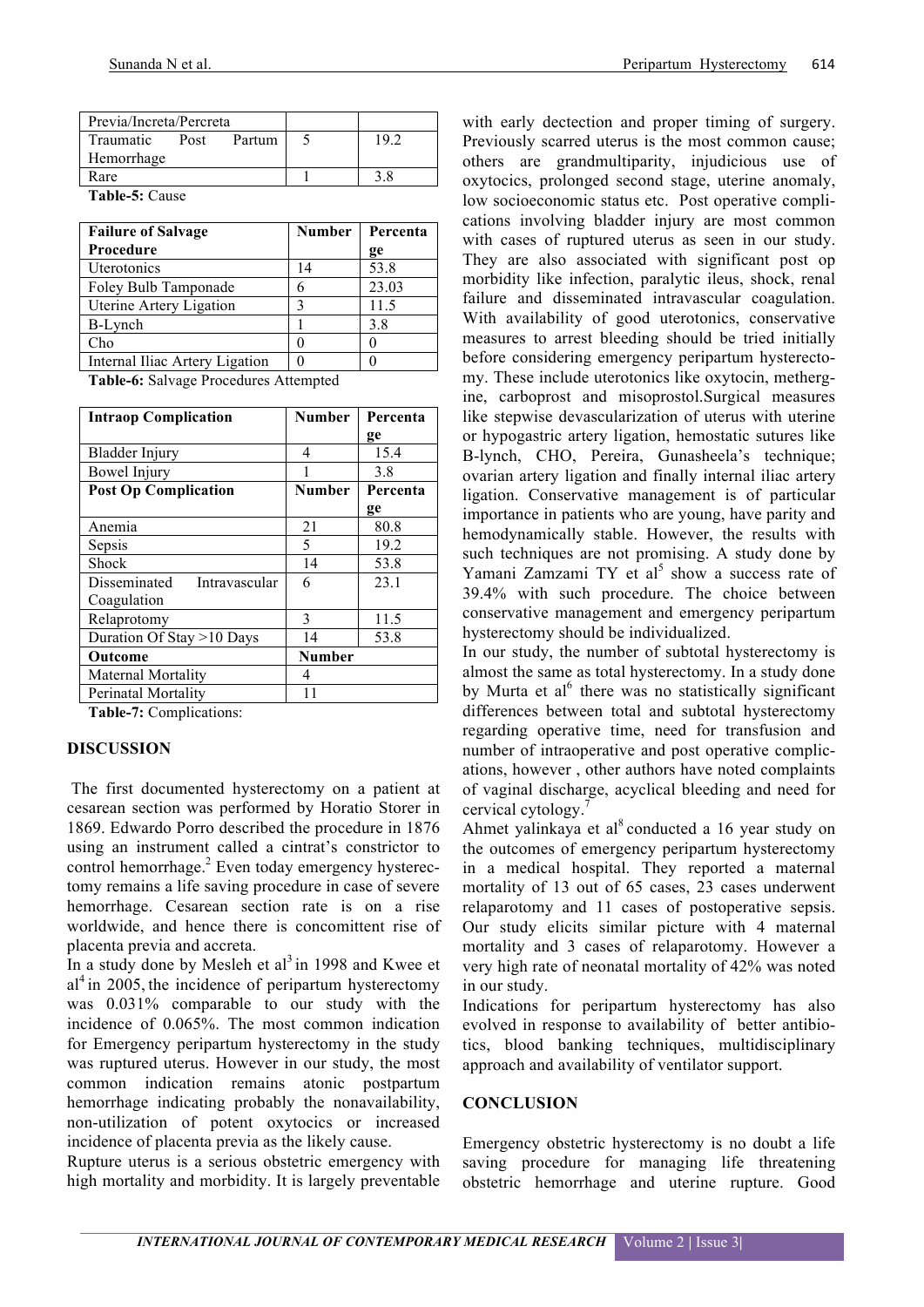| Previa/Increta/Percreta |      |        |       |
|-------------------------|------|--------|-------|
| Traumatic               | Post | Partum | 1 Q G |
| Hemorrhage              |      |        |       |
| Rare                    |      |        | 3 S   |

**Table-5:** Cause

| <b>Failure of Salvage</b>      | <b>Number</b> | Percenta |
|--------------------------------|---------------|----------|
| <b>Procedure</b>               |               | ge       |
| Uterotonics                    | 14            | 53.8     |
| Foley Bulb Tamponade           | 6             | 23.03    |
| Uterine Artery Ligation        |               | 11.5     |
| B-Lynch                        |               | 3.8      |
| Cho                            |               |          |
| Internal Iliac Artery Ligation |               |          |

**Table-6:** Salvage Procedures Attempted

| <b>Intraop Complication</b>   | <b>Number</b> | Percenta |
|-------------------------------|---------------|----------|
|                               |               | ge       |
| Bladder Injury                | 4             | 15.4     |
| <b>Bowel Injury</b>           |               | 3.8      |
| <b>Post Op Complication</b>   | <b>Number</b> | Percenta |
|                               |               | ge       |
| Anemia                        | 21            | 80.8     |
| Sepsis                        | 5             | 19.2     |
| Shock                         | 14            | 53.8     |
| Disseminated<br>Intravascular | 6             | 23.1     |
| Coagulation                   |               |          |
| Relaprotomy                   | 3             | 11.5     |
| Duration Of Stay >10 Days     | 14            | 53.8     |
| Outcome                       | <b>Number</b> |          |
| <b>Maternal Mortality</b>     | 4             |          |
| Perinatal Mortality           | 11            |          |

**Table-7:** Complications:

#### **DISCUSSION**

The first documented hysterectomy on a patient at cesarean section was performed by Horatio Storer in 1869. Edwardo Porro described the procedure in 1876 using an instrument called a cintrat's constrictor to control hemorrhage.<sup>2</sup> Even today emergency hysterectomy remains a life saving procedure in case of severe hemorrhage. Cesarean section rate is on a rise worldwide, and hence there is concomittent rise of placenta previa and accreta.

In a study done by Mesleh et al<sup>3</sup> in 1998 and Kwee et  $al<sup>4</sup>$  in 2005, the incidence of peripartum hysterectomy was 0.031% comparable to our study with the incidence of 0.065%. The most common indication for Emergency peripartum hysterectomy in the study was ruptured uterus. However in our study, the most common indication remains atonic postpartum hemorrhage indicating probably the nonavailability, non-utilization of potent oxytocics or increased incidence of placenta previa as the likely cause.

Rupture uterus is a serious obstetric emergency with high mortality and morbidity. It is largely preventable with early dectection and proper timing of surgery. Previously scarred uterus is the most common cause; others are grandmultiparity, injudicious use of oxytocics, prolonged second stage, uterine anomaly, low socioeconomic status etc. Post operative complications involving bladder injury are most common with cases of ruptured uterus as seen in our study. They are also associated with significant post op morbidity like infection, paralytic ileus, shock, renal failure and disseminated intravascular coagulation. With availability of good uterotonics, conservative measures to arrest bleeding should be tried initially before considering emergency peripartum hysterectomy. These include uterotonics like oxytocin, methergine, carboprost and misoprostol.Surgical measures like stepwise devascularization of uterus with uterine or hypogastric artery ligation, hemostatic sutures like B-lynch, CHO, Pereira, Gunasheela's technique; ovarian artery ligation and finally internal iliac artery ligation. Conservative management is of particular importance in patients who are young, have parity and hemodynamically stable. However, the results with such techniques are not promising. A study done by Yamani Zamzami  $TY$  et al<sup>5</sup> show a success rate of 39.4% with such procedure. The choice between conservative management and emergency peripartum hysterectomy should be individualized.

In our study, the number of subtotal hysterectomy is almost the same as total hysterectomy. In a study done by Murta et al<sup> $6$ </sup> there was no statistically significant differences between total and subtotal hysterectomy regarding operative time, need for transfusion and number of intraoperative and post operative complications, however , other authors have noted complaints of vaginal discharge, acyclical bleeding and need for cervical cytology.<sup>7</sup>

Ahmet yalinkaya et al $^{8}$  conducted a 16 year study on the outcomes of emergency peripartum hysterectomy in a medical hospital. They reported a maternal mortality of 13 out of 65 cases, 23 cases underwent relaparotomy and 11 cases of postoperative sepsis. Our study elicits similar picture with 4 maternal mortality and 3 cases of relaparotomy. However a very high rate of neonatal mortality of 42% was noted in our study.

Indications for peripartum hysterectomy has also evolved in response to availability of better antibiotics, blood banking techniques, multidisciplinary approach and availability of ventilator support.

#### **CONCLUSION**

Emergency obstetric hysterectomy is no doubt a life saving procedure for managing life threatening obstetric hemorrhage and uterine rupture. Good